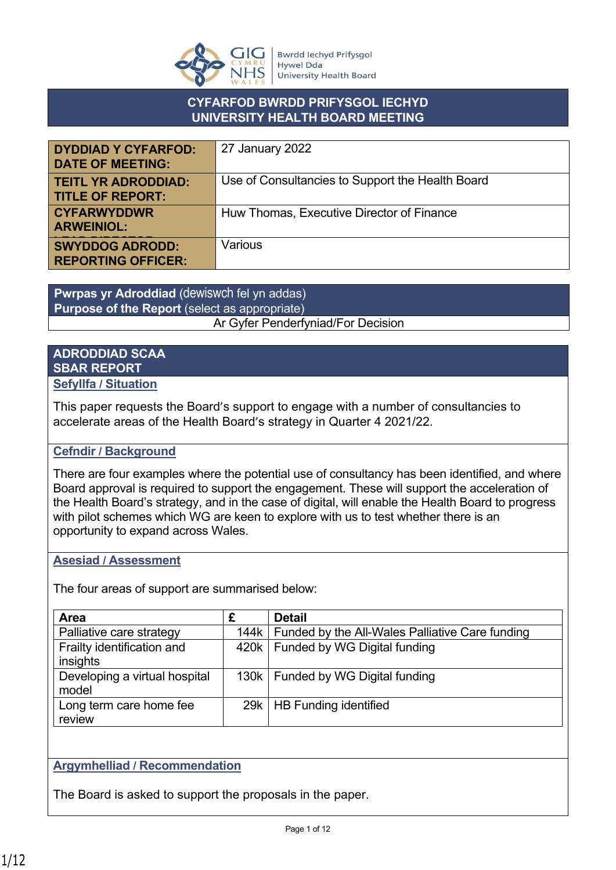

### **CYFARFOD BWRDD PRIFYSGOL IECHYD UNIVERSITY HEALTH BOARD MEETING**

| <b>DYDDIAD Y CYFARFOD:</b><br><b>DATE OF MEETING:</b> | 27 January 2022                                  |
|-------------------------------------------------------|--------------------------------------------------|
| <b>TEITL YR ADRODDIAD:</b><br><b>TITLE OF REPORT:</b> | Use of Consultancies to Support the Health Board |
| <b>CYFARWYDDWR</b><br><b>ARWEINIOL:</b>               | Huw Thomas, Executive Director of Finance        |
| <b>SWYDDOG ADRODD:</b><br><b>REPORTING OFFICER:</b>   | Various                                          |

**Pwrpas yr Adroddiad** (dewiswch fel yn addas) **Purpose of the Report** (select as appropriate) Ar Gyfer Penderfyniad/For Decision

#### **ADRODDIAD SCAA SBAR REPORT Sefyllfa / Situation**

This paper requests the Board's support to engage with a number of consultancies to accelerate areas of the Health Board's strategy in Quarter 4 2021/22.

### **Cefndir / Background**

There are four examples where the potential use of consultancy has been identified, and where Board approval is required to support the engagement. These will support the acceleration of the Health Board's strategy, and in the case of digital, will enable the Health Board to progress with pilot schemes which WG are keen to explore with us to test whether there is an opportunity to expand across Wales.

#### **Asesiad / Assessment**

The four areas of support are summarised below:

| <b>Area</b>                   | £    | <b>Detail</b>                                   |
|-------------------------------|------|-------------------------------------------------|
| Palliative care strategy      | 144k | Funded by the All-Wales Palliative Care funding |
| Frailty identification and    |      | 420k   Funded by WG Digital funding             |
| insights                      |      |                                                 |
| Developing a virtual hospital |      | 130k   Funded by WG Digital funding             |
| model                         |      |                                                 |
| Long term care home fee       |      | 29k   HB Funding identified                     |
| review                        |      |                                                 |

### **Argymhelliad / Recommendation**

The Board is asked to support the proposals in the paper.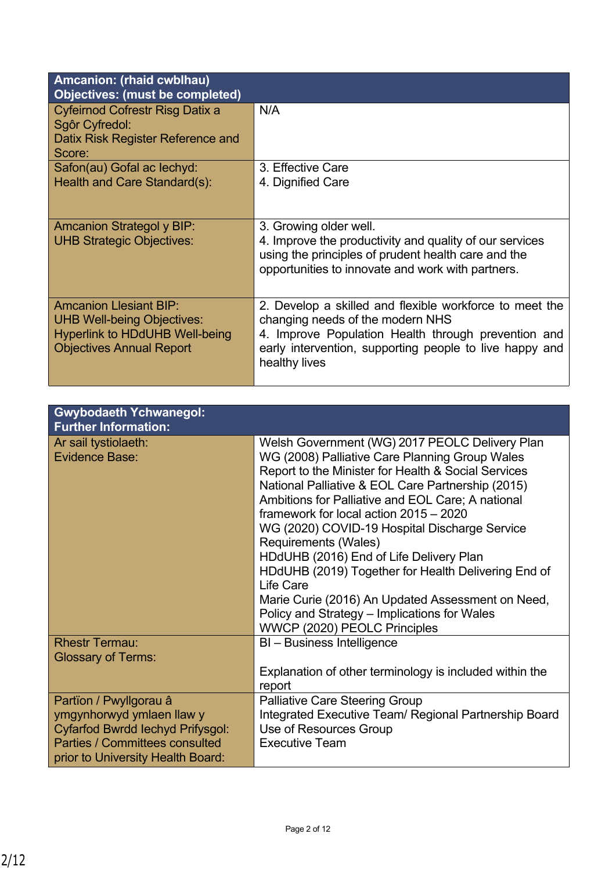| Amcanion: (rhaid cwblhau)<br><b>Objectives: (must be completed)</b>                                                                            |                                                                                                                                                                                                                                |
|------------------------------------------------------------------------------------------------------------------------------------------------|--------------------------------------------------------------------------------------------------------------------------------------------------------------------------------------------------------------------------------|
| Cyfeirnod Cofrestr Risg Datix a<br>Sgôr Cyfredol:<br>Datix Risk Register Reference and<br>Score:                                               | N/A                                                                                                                                                                                                                            |
| Safon(au) Gofal ac lechyd:<br>Health and Care Standard(s):                                                                                     | 3. Effective Care<br>4. Dignified Care                                                                                                                                                                                         |
| <b>Amcanion Strategol y BIP:</b><br><b>UHB Strategic Objectives:</b>                                                                           | 3. Growing older well.<br>4. Improve the productivity and quality of our services<br>using the principles of prudent health care and the<br>opportunities to innovate and work with partners.                                  |
| <b>Amcanion Llesiant BIP:</b><br><b>UHB Well-being Objectives:</b><br><b>Hyperlink to HDdUHB Well-being</b><br><b>Objectives Annual Report</b> | 2. Develop a skilled and flexible workforce to meet the<br>changing needs of the modern NHS<br>4. Improve Population Health through prevention and<br>early intervention, supporting people to live happy and<br>healthy lives |

people, communities and partners

| <b>Gwybodaeth Ychwanegol:</b><br><b>Further Information:</b>                                                                                                                 |                                                                                                                                                                                                                                                                                                                                                                                                                                                                                                                                                          |
|------------------------------------------------------------------------------------------------------------------------------------------------------------------------------|----------------------------------------------------------------------------------------------------------------------------------------------------------------------------------------------------------------------------------------------------------------------------------------------------------------------------------------------------------------------------------------------------------------------------------------------------------------------------------------------------------------------------------------------------------|
| Ar sail tystiolaeth:<br><b>Evidence Base:</b>                                                                                                                                | Welsh Government (WG) 2017 PEOLC Delivery Plan<br>WG (2008) Palliative Care Planning Group Wales<br>Report to the Minister for Health & Social Services<br>National Palliative & EOL Care Partnership (2015)<br>Ambitions for Palliative and EOL Care; A national<br>framework for local action 2015 - 2020<br>WG (2020) COVID-19 Hospital Discharge Service<br>Requirements (Wales)<br>HDdUHB (2016) End of Life Delivery Plan<br>HDdUHB (2019) Together for Health Delivering End of<br>Life Care<br>Marie Curie (2016) An Updated Assessment on Need, |
|                                                                                                                                                                              | Policy and Strategy – Implications for Wales<br>WWCP (2020) PEOLC Principles                                                                                                                                                                                                                                                                                                                                                                                                                                                                             |
| <b>Rhestr Termau:</b><br><b>Glossary of Terms:</b>                                                                                                                           | BI - Business Intelligence                                                                                                                                                                                                                                                                                                                                                                                                                                                                                                                               |
|                                                                                                                                                                              | Explanation of other terminology is included within the<br>report                                                                                                                                                                                                                                                                                                                                                                                                                                                                                        |
| Partïon / Pwyllgorau â<br>ymgynhorwyd ymlaen llaw y<br><b>Cyfarfod Bwrdd lechyd Prifysgol:</b><br><b>Parties / Committees consulted</b><br>prior to University Health Board: | <b>Palliative Care Steering Group</b><br>Integrated Executive Team/ Regional Partnership Board<br>Use of Resources Group<br><b>Executive Team</b>                                                                                                                                                                                                                                                                                                                                                                                                        |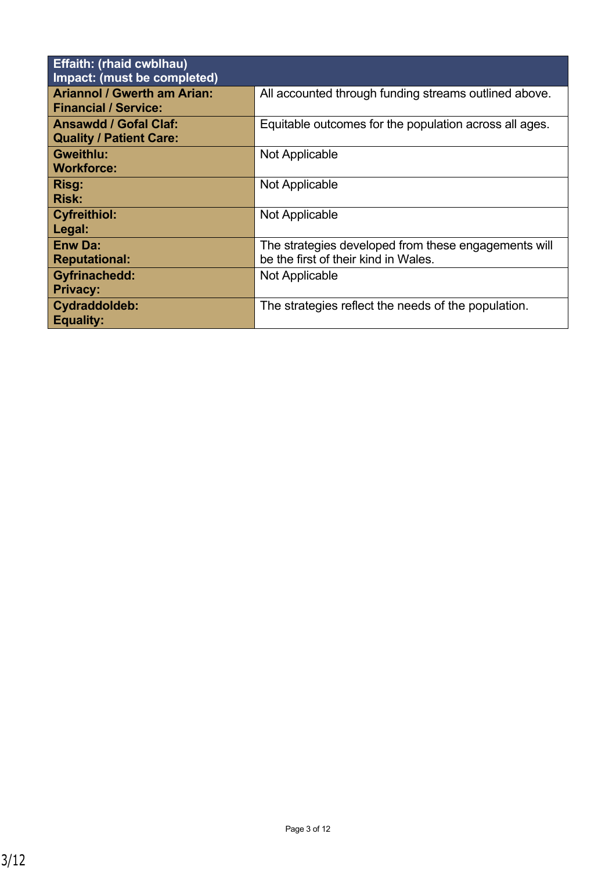| <b>Effaith: (rhaid cwblhau)</b><br>Impact: (must be completed)    |                                                                                              |
|-------------------------------------------------------------------|----------------------------------------------------------------------------------------------|
| <b>Ariannol / Gwerth am Arian:</b><br><b>Financial / Service:</b> | All accounted through funding streams outlined above.                                        |
| <b>Ansawdd / Gofal Claf:</b><br><b>Quality / Patient Care:</b>    | Equitable outcomes for the population across all ages.                                       |
| <b>Gweithlu:</b><br><b>Workforce:</b>                             | Not Applicable                                                                               |
| Risg:<br><b>Risk:</b>                                             | Not Applicable                                                                               |
| <b>Cyfreithiol:</b><br>Legal:                                     | Not Applicable                                                                               |
| <b>Enw Da:</b><br><b>Reputational:</b>                            | The strategies developed from these engagements will<br>be the first of their kind in Wales. |
| <b>Gyfrinachedd:</b><br><b>Privacy:</b>                           | Not Applicable                                                                               |
| Cydraddoldeb:<br><b>Equality:</b>                                 | The strategies reflect the needs of the population.                                          |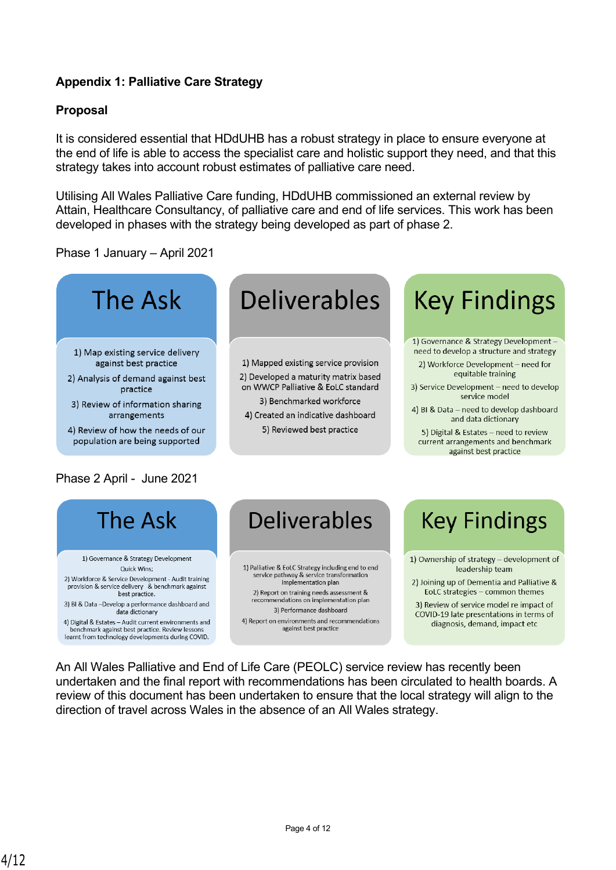### **Appendix 1: Palliative Care Strategy**

### **Proposal**

It is considered essential that HDdUHB has a robust strategy in place to ensure everyone at the end of life is able to access the specialist care and holistic support they need, and that this strategy takes into account robust estimates of palliative care need.

Utilising All Wales Palliative Care funding, HDdUHB commissioned an external review by Attain, Healthcare Consultancy, of palliative care and end of life services. This work has been developed in phases with the strategy being developed as part of phase 2.

Phase 1 January – April 2021



- 2) Analysis of demand against best
- practice
- 3) Review of information sharing arrangements
- 4) Review of how the needs of our population are being supported

### Phase 2 April - June 2021

# **Deliverables**

1) Mapped existing service provision 2) Developed a maturity matrix based on WWCP Palliative & EoLC standard 3) Benchmarked workforce 4) Created an indicative dashboard 5) Reviewed best practice

# **Key Findings**

- 1) Governance & Strategy Development need to develop a structure and strategy 2) Workforce Development - need for equitable training
- 3) Service Development need to develop service model
- 4) BI & Data need to develop dashboard and data dictionary
- 5) Digital & Estates need to review current arrangements and benchmark against best practice



1) Governance & Strategy Development Quick Wins; 2) Workforce & Service Development - Audit training provision & service delivery & benchmark against best practice.

3) BI & Data --Develop a performance dashboard and data dictionary

4) Digital & Estates - Audit current environments and benchmark against best practice. Review lessons learnt from technology developments during COVID.

### **Deliverables**

1) Palliative & EoLC Strategy including end to end service pathway & service transformation<br>implementation plan 2) Report on training needs assessment & recommendations on implementation plan 3) Performance dashboard 4) Report on environments and recommendations against best practice

## **Key Findings**

- 1) Ownership of strategy development of leadership team
- 2) Joining up of Dementia and Palliative & EoLC strategies - common themes
- 3) Review of service model re impact of COVID-19 late presentations in terms of diagnosis, demand, impact etc

An All Wales Palliative and End of Life Care (PEOLC) service review has recently been undertaken and the final report with recommendations has been circulated to health boards. A review of this document has been undertaken to ensure that the local strategy will align to the direction of travel across Wales in the absence of an All Wales strategy.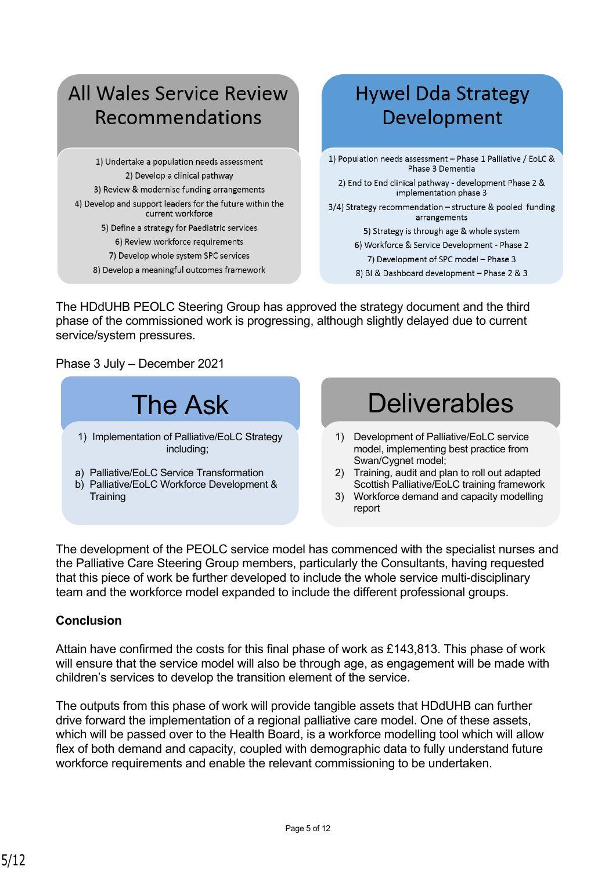### **All Wales Service Review** Recommendations

1) Undertake a population needs assessment 2) Develop a clinical pathway 3) Review & modernise funding arrangements 4) Develop and support leaders for the future within the current workforce 5) Define a strategy for Paediatric services 6) Review workforce requirements 7) Develop whole system SPC services

8) Develop a meaningful outcomes framework

### **Hywel Dda Strategy** Development

1) Population needs assessment - Phase 1 Palliative / EoLC & Phase 3 Dementia

2) End to End clinical pathway - development Phase 2 & implementation phase 3

3/4) Strategy recommendation - structure & pooled funding arrangements

5) Strategy is through age & whole system

6) Workforce & Service Development - Phase 2

7) Development of SPC model - Phase 3

8) BI & Dashboard development - Phase 2 & 3

The HDdUHB PEOLC Steering Group has approved the strategy document and the third phase of the commissioned work is progressing, although slightly delayed due to current service/system pressures.

Phase 3 July – December 2021



The development of the PEOLC service model has commenced with the specialist nurses and the Palliative Care Steering Group members, particularly the Consultants, having requested that this piece of work be further developed to include the whole service multi-disciplinary team and the workforce model expanded to include the different professional groups.

### **Conclusion**

Attain have confirmed the costs for this final phase of work as £143,813. This phase of work will ensure that the service model will also be through age, as engagement will be made with children's services to develop the transition element of the service.

The outputs from this phase of work will provide tangible assets that HDdUHB can further drive forward the implementation of a regional palliative care model. One of these assets, which will be passed over to the Health Board, is a workforce modelling tool which will allow flex of both demand and capacity, coupled with demographic data to fully understand future workforce requirements and enable the relevant commissioning to be undertaken.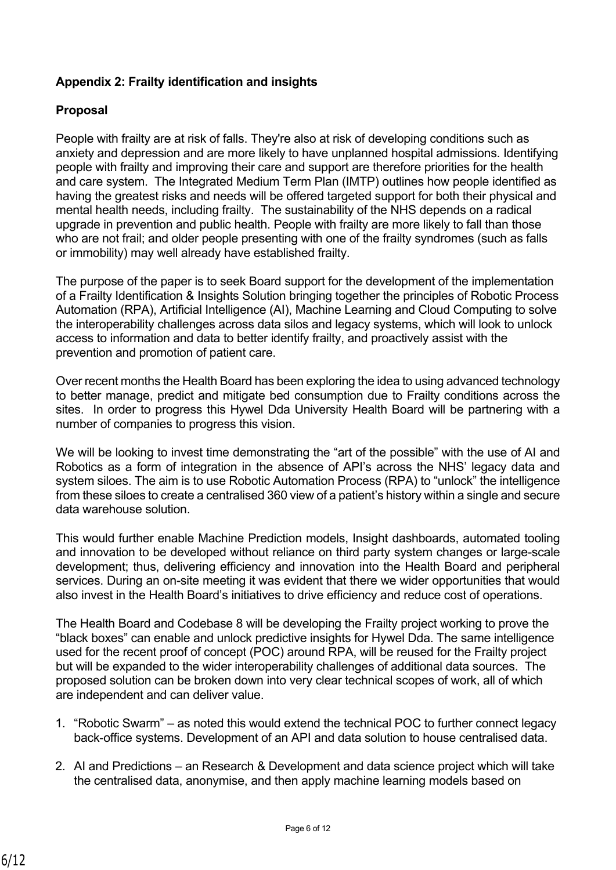### **Appendix 2: Frailty identification and insights**

### **Proposal**

People with frailty are at risk of falls. They're also at risk of developing conditions such as anxiety and depression and are more likely to have unplanned hospital admissions. Identifying people with frailty and improving their care and support are therefore priorities for the health and care system. The Integrated Medium Term Plan (IMTP) outlines how people identified as having the greatest risks and needs will be offered targeted support for both their physical and mental health needs, including frailty. The sustainability of the NHS depends on a radical upgrade in prevention and public health. People with frailty are more likely to fall than those who are not frail; and older people presenting with one of the frailty syndromes (such as falls or immobility) may well already have established frailty.

The purpose of the paper is to seek Board support for the development of the implementation of a Frailty Identification & Insights Solution bringing together the principles of Robotic Process Automation (RPA), Artificial Intelligence (AI), Machine Learning and Cloud Computing to solve the interoperability challenges across data silos and legacy systems, which will look to unlock access to information and data to better identify frailty, and proactively assist with the prevention and promotion of patient care.

Over recent months the Health Board has been exploring the idea to using advanced technology to better manage, predict and mitigate bed consumption due to Frailty conditions across the sites. In order to progress this Hywel Dda University Health Board will be partnering with a number of companies to progress this vision.

We will be looking to invest time demonstrating the "art of the possible" with the use of AI and Robotics as a form of integration in the absence of API's across the NHS' legacy data and system siloes. The aim is to use Robotic Automation Process (RPA) to "unlock" the intelligence from these siloes to create a centralised 360 view of a patient's history within a single and secure data warehouse solution.

This would further enable Machine Prediction models, Insight dashboards, automated tooling and innovation to be developed without reliance on third party system changes or large-scale development; thus, delivering efficiency and innovation into the Health Board and peripheral services. During an on-site meeting it was evident that there we wider opportunities that would also invest in the Health Board's initiatives to drive efficiency and reduce cost of operations.

The Health Board and Codebase 8 will be developing the Frailty project working to prove the "black boxes" can enable and unlock predictive insights for Hywel Dda. The same intelligence used for the recent proof of concept (POC) around RPA, will be reused for the Frailty project but will be expanded to the wider interoperability challenges of additional data sources. The proposed solution can be broken down into very clear technical scopes of work, all of which are independent and can deliver value.

- 1. "Robotic Swarm" as noted this would extend the technical POC to further connect legacy back-office systems. Development of an API and data solution to house centralised data.
- 2. AI and Predictions an Research & Development and data science project which will take the centralised data, anonymise, and then apply machine learning models based on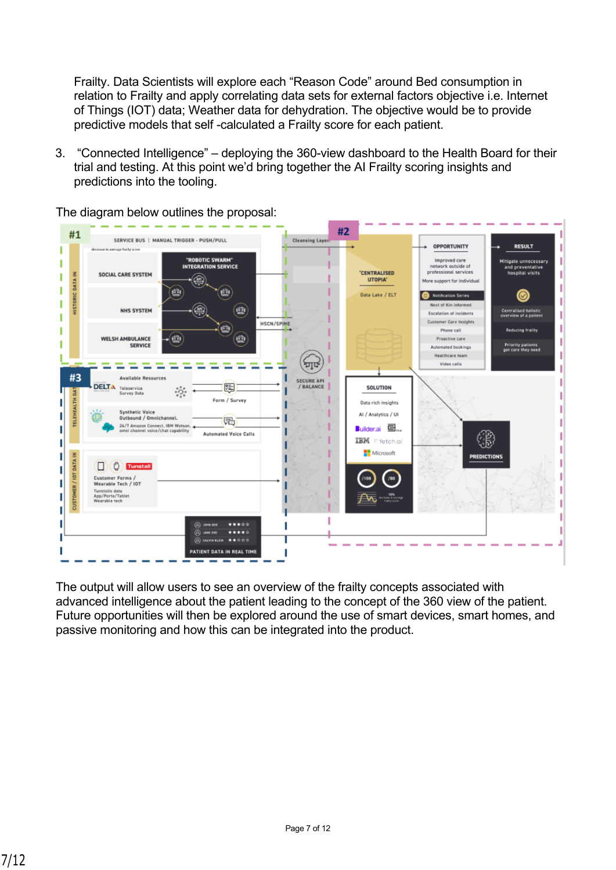Frailty. Data Scientists will explore each "Reason Code" around Bed consumption in relation to Frailty and apply correlating data sets for external factors objective i.e. Internet of Things (IOT) data; Weather data for dehydration. The objective would be to provide predictive models that self -calculated a Frailty score for each patient.

3. "Connected Intelligence" – deploying the 360-view dashboard to the Health Board for their trial and testing. At this point we'd bring together the AI Frailty scoring insights and predictions into the tooling.



The diagram below outlines the proposal:

The output will allow users to see an overview of the frailty concepts associated with advanced intelligence about the patient leading to the concept of the 360 view of the patient. Future opportunities will then be explored around the use of smart devices, smart homes, and passive monitoring and how this can be integrated into the product.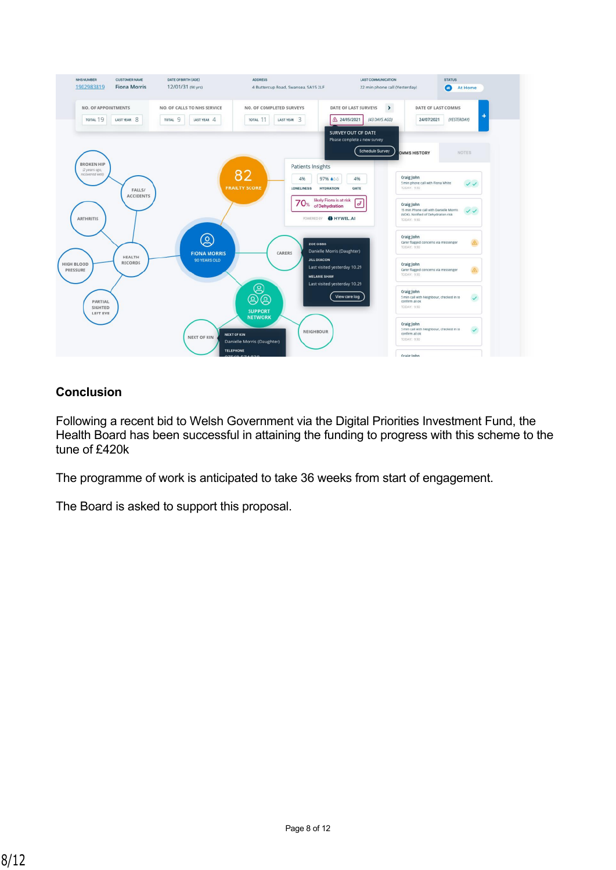

### **Conclusion**

Following a recent bid to Welsh Government via the Digital Priorities Investment Fund, the Health Board has been successful in attaining the funding to progress with this scheme to the tune of £420k

The programme of work is anticipated to take 36 weeks from start of engagement.

The Board is asked to support this proposal.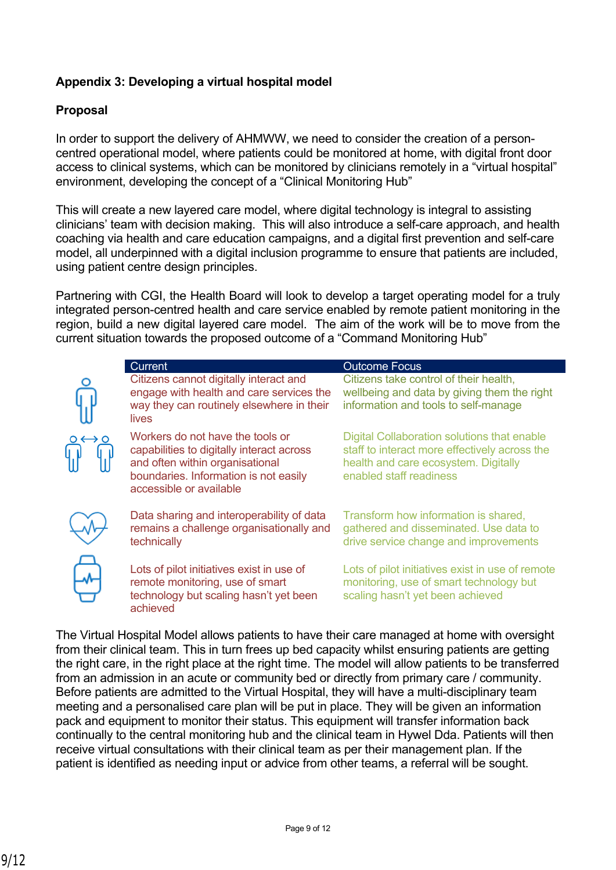### **Appendix 3: Developing a virtual hospital model**

### **Proposal**

In order to support the delivery of AHMWW, we need to consider the creation of a personcentred operational model, where patients could be monitored at home, with digital front door access to clinical systems, which can be monitored by clinicians remotely in a "virtual hospital" environment, developing the concept of a "Clinical Monitoring Hub"

This will create a new layered care model, where digital technology is integral to assisting clinicians' team with decision making. This will also introduce a self-care approach, and health coaching via health and care education campaigns, and a digital first prevention and self-care model, all underpinned with a digital inclusion programme to ensure that patients are included, using patient centre design principles.

Partnering with CGI, the Health Board will look to develop a target operating model for a truly integrated person-centred health and care service enabled by remote patient monitoring in the region, build a new digital layered care model. The aim of the work will be to move from the current situation towards the proposed outcome of a "Command Monitoring Hub"

| <b>Current</b>                                                                                                                                                                       | <b>Outcome Focus</b>                                                                                                                                            |
|--------------------------------------------------------------------------------------------------------------------------------------------------------------------------------------|-----------------------------------------------------------------------------------------------------------------------------------------------------------------|
| Citizens cannot digitally interact and<br>engage with health and care services the<br>way they can routinely elsewhere in their<br><i>lives</i>                                      | Citizens take control of their health,<br>wellbeing and data by giving them the right<br>information and tools to self-manage                                   |
| Workers do not have the tools or<br>capabilities to digitally interact across<br>and often within organisational<br>boundaries. Information is not easily<br>accessible or available | Digital Collaboration solutions that enable<br>staff to interact more effectively across the<br>health and care ecosystem. Digitally<br>enabled staff readiness |
| Data sharing and interoperability of data<br>remains a challenge organisationally and<br>technically                                                                                 | Transform how information is shared,<br>gathered and disseminated. Use data to<br>drive service change and improvements                                         |
| Lots of pilot initiatives exist in use of<br>remote monitoring, use of smart<br>technology but scaling hasn't yet been<br>achieved                                                   | Lots of pilot initiatives exist in use of remote<br>monitoring, use of smart technology but<br>scaling hasn't yet been achieved                                 |

The Virtual Hospital Model allows patients to have their care managed at home with oversight from their clinical team. This in turn frees up bed capacity whilst ensuring patients are getting the right care, in the right place at the right time. The model will allow patients to be transferred from an admission in an acute or community bed or directly from primary care / community. Before patients are admitted to the Virtual Hospital, they will have a multi-disciplinary team meeting and a personalised care plan will be put in place. They will be given an information pack and equipment to monitor their status. This equipment will transfer information back continually to the central monitoring hub and the clinical team in Hywel Dda. Patients will then receive virtual consultations with their clinical team as per their management plan. If the patient is identified as needing input or advice from other teams, a referral will be sought.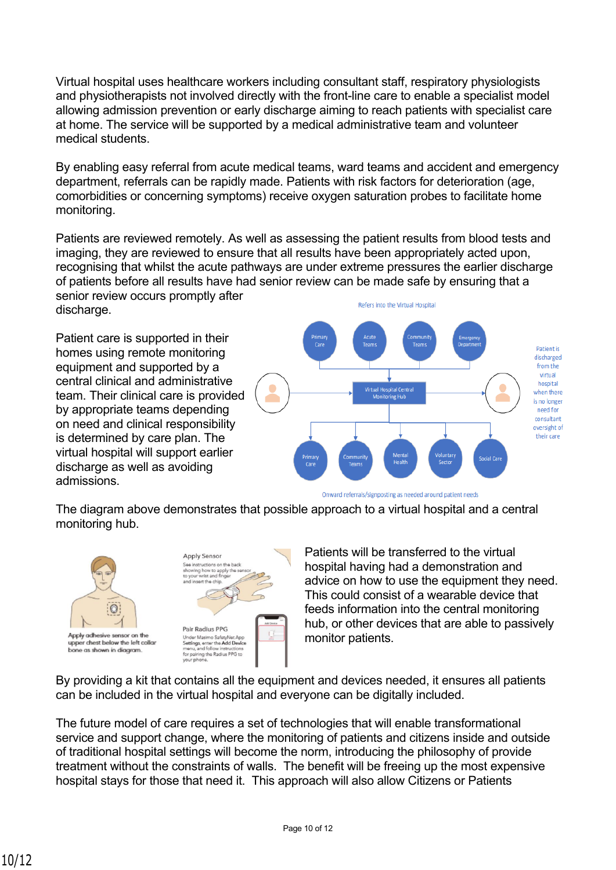Virtual hospital uses healthcare workers including consultant staff, respiratory physiologists and physiotherapists not involved directly with the front-line care to enable a specialist model allowing admission prevention or early discharge aiming to reach patients with specialist care at home. The service will be supported by a medical administrative team and volunteer medical students.

By enabling easy referral from acute medical teams, ward teams and accident and emergency department, referrals can be rapidly made. Patients with risk factors for deterioration (age, comorbidities or concerning symptoms) receive oxygen saturation probes to facilitate home monitoring.

Patients are reviewed remotely. As well as assessing the patient results from blood tests and imaging, they are reviewed to ensure that all results have been appropriately acted upon, recognising that whilst the acute pathways are under extreme pressures the earlier discharge of patients before all results have had senior review can be made safe by ensuring that a senior review occurs promptly after

discharge.

Patient care is supported in their homes using remote monitoring equipment and supported by a central clinical and administrative team. Their clinical care is provided by appropriate teams depending on need and clinical responsibility is determined by care plan. The virtual hospital will support earlier discharge as well as avoiding admissions.



Onward referrals/signposting as needed around patient needs

The diagram above demonstrates that possible approach to a virtual hospital and a central monitoring hub.





Patients will be transferred to the virtual hospital having had a demonstration and advice on how to use the equipment they need. This could consist of a wearable device that feeds information into the central monitoring hub, or other devices that are able to passively monitor patients.

By providing a kit that contains all the equipment and devices needed, it ensures all patients can be included in the virtual hospital and everyone can be digitally included.

The future model of care requires a set of technologies that will enable transformational service and support change, where the monitoring of patients and citizens inside and outside of traditional hospital settings will become the norm, introducing the philosophy of provide treatment without the constraints of walls. The benefit will be freeing up the most expensive hospital stays for those that need it. This approach will also allow Citizens or Patients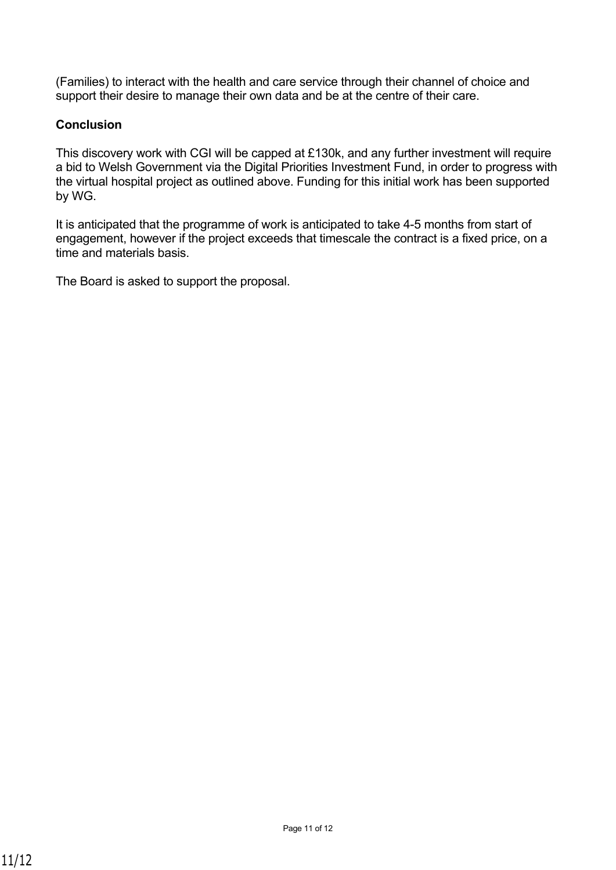(Families) to interact with the health and care service through their channel of choice and support their desire to manage their own data and be at the centre of their care.

### **Conclusion**

This discovery work with CGI will be capped at £130k, and any further investment will require a bid to Welsh Government via the Digital Priorities Investment Fund, in order to progress with the virtual hospital project as outlined above. Funding for this initial work has been supported by WG.

It is anticipated that the programme of work is anticipated to take 4-5 months from start of engagement, however if the project exceeds that timescale the contract is a fixed price, on a time and materials basis.

The Board is asked to support the proposal.